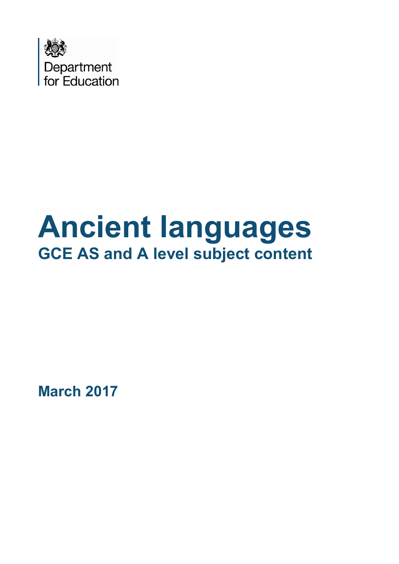

# **Ancient languages GCE AS and A level subject content**

**March 2017**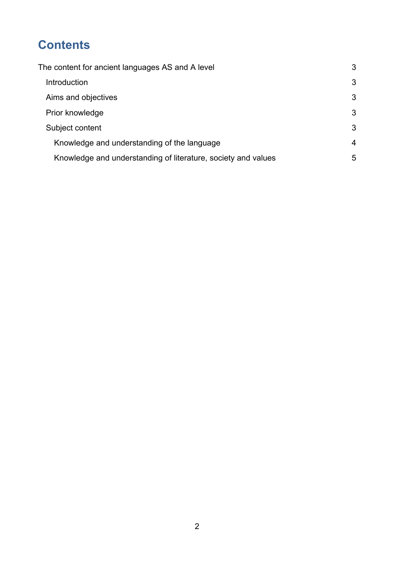# **Contents**

| The content for ancient languages AS and A level              | 3 |
|---------------------------------------------------------------|---|
| Introduction                                                  | 3 |
| Aims and objectives                                           | 3 |
| Prior knowledge                                               | 3 |
| Subject content                                               | 3 |
| Knowledge and understanding of the language                   | 4 |
| Knowledge and understanding of literature, society and values | 5 |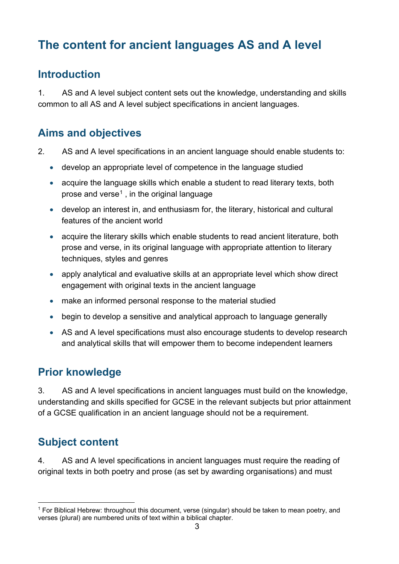## <span id="page-2-0"></span>**The content for ancient languages AS and A level**

### <span id="page-2-1"></span>**Introduction**

1. AS and A level subject content sets out the knowledge, understanding and skills common to all AS and A level subject specifications in ancient languages.

## <span id="page-2-2"></span>**Aims and objectives**

- 2. AS and A level specifications in an ancient language should enable students to:
	- develop an appropriate level of competence in the language studied
	- acquire the language skills which enable a student to read literary texts, both prose and verse<sup>[1](#page-2-5)</sup>, in the original language
	- develop an interest in, and enthusiasm for, the literary, historical and cultural features of the ancient world
	- acquire the literary skills which enable students to read ancient literature, both prose and verse, in its original language with appropriate attention to literary techniques, styles and genres
	- apply analytical and evaluative skills at an appropriate level which show direct engagement with original texts in the ancient language
	- make an informed personal response to the material studied
	- begin to develop a sensitive and analytical approach to language generally
	- AS and A level specifications must also encourage students to develop research and analytical skills that will empower them to become independent learners

## <span id="page-2-3"></span>**Prior knowledge**

3. AS and A level specifications in ancient languages must build on the knowledge, understanding and skills specified for GCSE in the relevant subjects but prior attainment of a GCSE qualification in an ancient language should not be a requirement.

## <span id="page-2-4"></span>**Subject content**

4. AS and A level specifications in ancient languages must require the reading of original texts in both poetry and prose (as set by awarding organisations) and must

<span id="page-2-5"></span><sup>1</sup> For Biblical Hebrew: throughout this document, verse (singular) should be taken to mean poetry, and verses (plural) are numbered units of text within a biblical chapter.  $\overline{a}$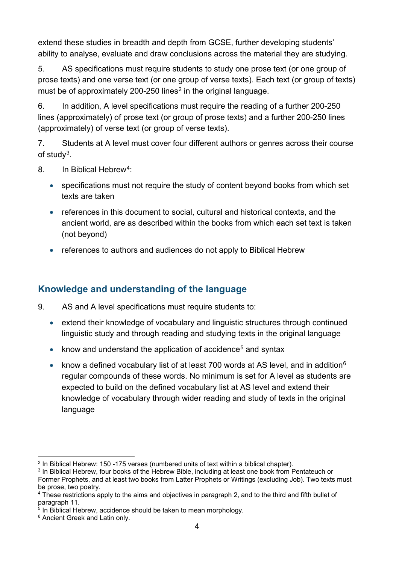extend these studies in breadth and depth from GCSE, further developing students' ability to analyse, evaluate and draw conclusions across the material they are studying.

5. AS specifications must require students to study one prose text (or one group of prose texts) and one verse text (or one group of verse texts). Each text (or group of texts) must be of approximately [2](#page-3-1)00-250 lines<sup>2</sup> in the original language.

6. In addition, A level specifications must require the reading of a further 200-250 lines (approximately) of prose text (or group of prose texts) and a further 200-250 lines (approximately) of verse text (or group of verse texts).

7. Students at A level must cover four different authors or genres across their course of study[3.](#page-3-2)

- 8. In Biblical Hebrew<sup>4</sup>:
	- specifications must not require the study of content beyond books from which set texts are taken
	- references in this document to social, cultural and historical contexts, and the ancient world, are as described within the books from which each set text is taken (not beyond)
	- references to authors and audiences do not apply to Biblical Hebrew

#### <span id="page-3-0"></span>**Knowledge and understanding of the language**

- 9. AS and A level specifications must require students to:
	- extend their knowledge of vocabulary and linguistic structures through continued linguistic study and through reading and studying texts in the original language
	- know and understand the application of accidence<sup>[5](#page-3-4)</sup> and syntax
	- know a defined vocabulary list of at least 700 words at AS level, and in addition<sup>6</sup> regular compounds of these words. No minimum is set for A level as students are expected to build on the defined vocabulary list at AS level and extend their knowledge of vocabulary through wider reading and study of texts in the original language

<sup>2</sup> In Biblical Hebrew: 150 -175 verses (numbered units of text within a biblical chapter).  $\overline{a}$ 

<span id="page-3-2"></span><span id="page-3-1"></span><sup>&</sup>lt;sup>3</sup> In Biblical Hebrew, four books of the Hebrew Bible, including at least one book from Pentateuch or Former Prophets, and at least two books from Latter Prophets or Writings (excluding Job). Two texts must be prose, two poetry.

<span id="page-3-3"></span><sup>4</sup> These restrictions apply to the aims and objectives in paragraph 2, and to the third and fifth bullet of paragraph 11.

<span id="page-3-4"></span> $5$  In Biblical Hebrew, accidence should be taken to mean morphology.

<span id="page-3-5"></span><sup>6</sup> Ancient Greek and Latin only.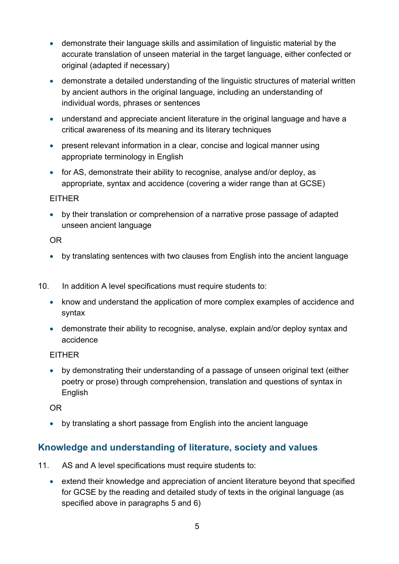- demonstrate their language skills and assimilation of linguistic material by the accurate translation of unseen material in the target language, either confected or original (adapted if necessary)
- demonstrate a detailed understanding of the linguistic structures of material written by ancient authors in the original language, including an understanding of individual words, phrases or sentences
- understand and appreciate ancient literature in the original language and have a critical awareness of its meaning and its literary techniques
- present relevant information in a clear, concise and logical manner using appropriate terminology in English
- for AS, demonstrate their ability to recognise, analyse and/or deploy, as appropriate, syntax and accidence (covering a wider range than at GCSE)

#### EITHER

• by their translation or comprehension of a narrative prose passage of adapted unseen ancient language

#### OR

- by translating sentences with two clauses from English into the ancient language
- 10. In addition A level specifications must require students to:
	- know and understand the application of more complex examples of accidence and syntax
	- demonstrate their ability to recognise, analyse, explain and/or deploy syntax and accidence

#### EITHER

• by demonstrating their understanding of a passage of unseen original text (either poetry or prose) through comprehension, translation and questions of syntax in English

OR

• by translating a short passage from English into the ancient language

#### <span id="page-4-0"></span>**Knowledge and understanding of literature, society and values**

- 11. AS and A level specifications must require students to:
	- extend their knowledge and appreciation of ancient literature beyond that specified for GCSE by the reading and detailed study of texts in the original language (as specified above in paragraphs 5 and 6)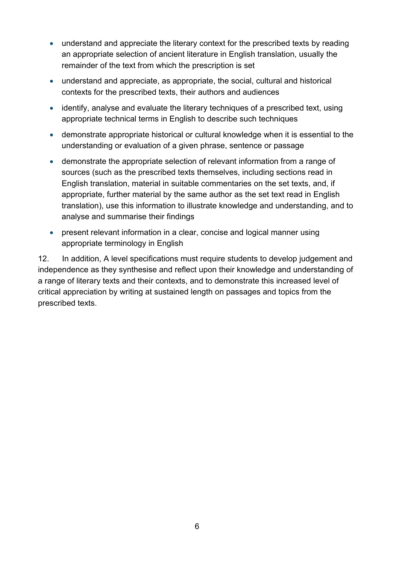- understand and appreciate the literary context for the prescribed texts by reading an appropriate selection of ancient literature in English translation, usually the remainder of the text from which the prescription is set
- understand and appreciate, as appropriate, the social, cultural and historical contexts for the prescribed texts, their authors and audiences
- identify, analyse and evaluate the literary techniques of a prescribed text, using appropriate technical terms in English to describe such techniques
- demonstrate appropriate historical or cultural knowledge when it is essential to the understanding or evaluation of a given phrase, sentence or passage
- demonstrate the appropriate selection of relevant information from a range of sources (such as the prescribed texts themselves, including sections read in English translation, material in suitable commentaries on the set texts, and, if appropriate, further material by the same author as the set text read in English translation), use this information to illustrate knowledge and understanding, and to analyse and summarise their findings
- present relevant information in a clear, concise and logical manner using appropriate terminology in English

12. In addition, A level specifications must require students to develop judgement and independence as they synthesise and reflect upon their knowledge and understanding of a range of literary texts and their contexts, and to demonstrate this increased level of critical appreciation by writing at sustained length on passages and topics from the prescribed texts.